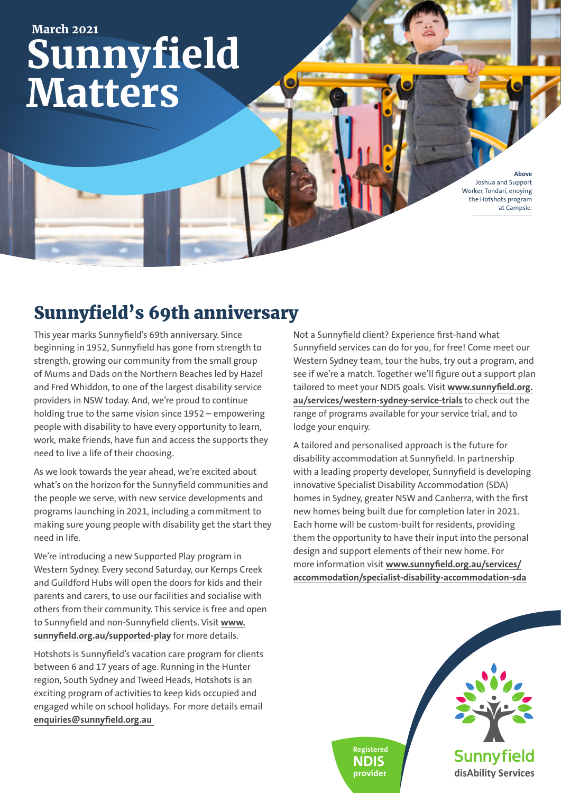# **Sunnyfield Matters March 2021**

**Above** Joshua and Support Worker, Tondari, enoying the Hotshots program at Campsie.

## Sunnyfield's 69th anniversary

This year marks Sunnyfield's 69th anniversary. Since beginning in 1952, Sunnyfield has gone from strength to strength, growing our community from the small group of Mums and Dads on the Northern Beaches led by Hazel and Fred Whiddon, to one of the largest disability service providers in NSW today. And, we're proud to continue holding true to the same vision since 1952 – empowering people with disability to have every opportunity to learn, work, make friends, have fun and access the supports they need to live a life of their choosing.

As we look towards the year ahead, we're excited about what's on the horizon for the Sunnyfield communities and the people we serve, with new service developments and programs launching in 2021, including a commitment to making sure young people with disability get the start they need in life.

We're introducing a new Supported Play program in Western Sydney. Every second Saturday, our Kemps Creek and Guildford Hubs will open the doors for kids and their parents and carers, to use our facilities and socialise with others from their community. This service is free and open to Sunnyfield and non-Sunnyfield clients. Visit **www. sunnyfield.org.au/supported-play** for more details.

Hotshots is Sunnyfield's vacation care program for clients between 6 and 17 years of age. Running in the Hunter region, South Sydney and Tweed Heads, Hotshots is an exciting program of activities to keep kids occupied and engaged while on school holidays. For more details email **enquiries@sunnyfield.org.au** 

Not a Sunnyfield client? Experience first-hand what Sunnyfield services can do for you, for free! Come meet our Western Sydney team, tour the hubs, try out a program, and see if we're a match. Together we'll figure out a support plan tailored to meet your NDIS goals. Visit **www.sunnyfield.org. au/services/western-sydney-service-trials** to check out the range of programs available for your service trial, and to lodge your enquiry.

A tailored and personalised approach is the future for disability accommodation at Sunnyfield. In partnership with a leading property developer, Sunnyfield is developing innovative Specialist Disability Accommodation (SDA) homes in Sydney, greater NSW and Canberra, with the first new homes being built due for completion later in 2021. Each home will be custom-built for residents, providing them the opportunity to have their input into the personal design and support elements of their new home. For more information visit **www.sunnyfield.org.au/services/ accommodation/specialist-disability-accommodation-sda**

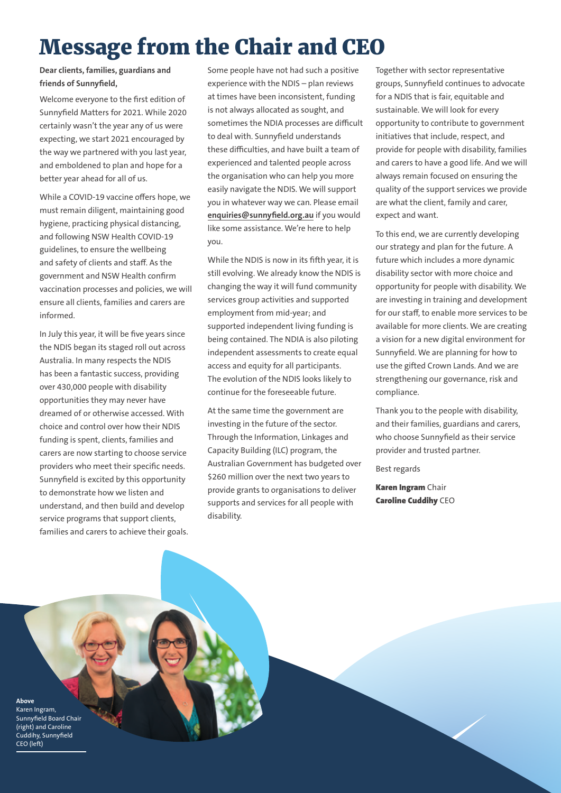# Message from the Chair and CEO

### **Dear clients, families, guardians and friends of Sunnyfield,**

Welcome everyone to the first edition of Sunnyfield Matters for 2021. While 2020 certainly wasn't the year any of us were expecting, we start 2021 encouraged by the way we partnered with you last year, and emboldened to plan and hope for a better year ahead for all of us.

While a COVID-19 vaccine offers hope, we must remain diligent, maintaining good hygiene, practicing physical distancing, and following NSW Health COVID-19 guidelines, to ensure the wellbeing and safety of clients and staff. As the government and NSW Health confirm vaccination processes and policies, we will ensure all clients, families and carers are informed.

In July this year, it will be five years since the NDIS began its staged roll out across Australia. In many respects the NDIS has been a fantastic success, providing over 430,000 people with disability opportunities they may never have dreamed of or otherwise accessed. With choice and control over how their NDIS funding is spent, clients, families and carers are now starting to choose service providers who meet their specific needs. Sunnyfield is excited by this opportunity to demonstrate how we listen and understand, and then build and develop service programs that support clients, families and carers to achieve their goals. Some people have not had such a positive experience with the NDIS – plan reviews at times have been inconsistent, funding is not always allocated as sought, and sometimes the NDIA processes are difficult to deal with. Sunnyfield understands these difficulties, and have built a team of experienced and talented people across the organisation who can help you more easily navigate the NDIS. We will support you in whatever way we can. Please email **enquiries@sunnyfield.org.au** if you would like some assistance. We're here to help you.

While the NDIS is now in its fifth year, it is still evolving. We already know the NDIS is changing the way it will fund community services group activities and supported employment from mid-year; and supported independent living funding is being contained. The NDIA is also piloting independent assessments to create equal access and equity for all participants. The evolution of the NDIS looks likely to continue for the foreseeable future.

At the same time the government are investing in the future of the sector. Through the Information, Linkages and Capacity Building (ILC) program, the Australian Government has budgeted over \$260 million over the next two years to provide grants to organisations to deliver supports and services for all people with disability.

Together with sector representative groups, Sunnyfield continues to advocate for a NDIS that is fair, equitable and sustainable. We will look for every opportunity to contribute to government initiatives that include, respect, and provide for people with disability, families and carers to have a good life. And we will always remain focused on ensuring the quality of the support services we provide are what the client, family and carer, expect and want.

To this end, we are currently developing our strategy and plan for the future. A future which includes a more dynamic disability sector with more choice and opportunity for people with disability. We are investing in training and development for our staff, to enable more services to be available for more clients. We are creating a vision for a new digital environment for Sunnyfield. We are planning for how to use the gifted Crown Lands. And we are strengthening our governance, risk and compliance.

Thank you to the people with disability, and their families, guardians and carers, who choose Sunnyfield as their service provider and trusted partner.

Best regards

**Karen Ingram Chair** Caroline Cuddihy CEO

**Above** Karen Ingram, Sunnyfield Board Chair (right) and Caroline Cuddihy, Sunnyfield CEO (left)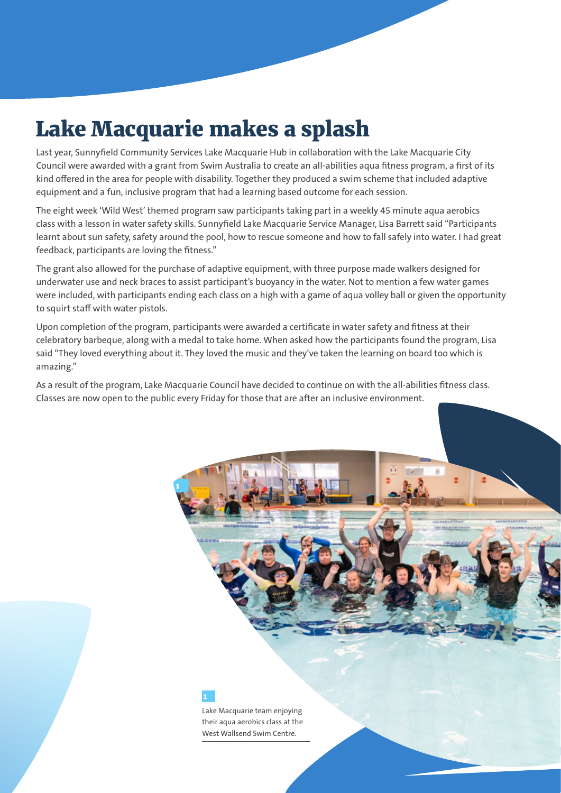## Lake Macquarie makes a splash

Last year, Sunnyfield Community Services Lake Macquarie Hub in collaboration with the Lake Macquarie City Council were awarded with a grant from Swim Australia to create an all-abilities aqua fitness program, a first of its kind offered in the area for people with disability. Together they produced a swim scheme that included adaptive equipment and a fun, inclusive program that had a learning based outcome for each session.

The eight week 'Wild West' themed program saw participants taking part in a weekly 45 minute aqua aerobics class with a lesson in water safety skills. Sunnyfield Lake Macquarie Service Manager, Lisa Barrett said "Participants learnt about sun safety, safety around the pool, how to rescue someone and how to fall safely into water. I had great feedback, participants are loving the fitness."

The grant also allowed for the purchase of adaptive equipment, with three purpose made walkers designed for underwater use and neck braces to assist participant's buoyancy in the water. Not to mention a few water games were included, with participants ending each class on a high with a game of aqua volley ball or given the opportunity to squirt staff with water pistols.

Upon completion of the program, participants were awarded a certificate in water safety and fitness at their celebratory barbeque, along with a medal to take home. When asked how the participants found the program, Lisa said "They loved everything about it. They loved the music and they've taken the learning on board too which is amazing."

As a result of the program, Lake Macquarie Council have decided to continue on with the all-abilities fitness class. Classes are now open to the public every Friday for those that are after an inclusive environment.

1

1

Lake Macquarie team enjoying their aqua aerobics class at the West Wallsend Swim Centre.